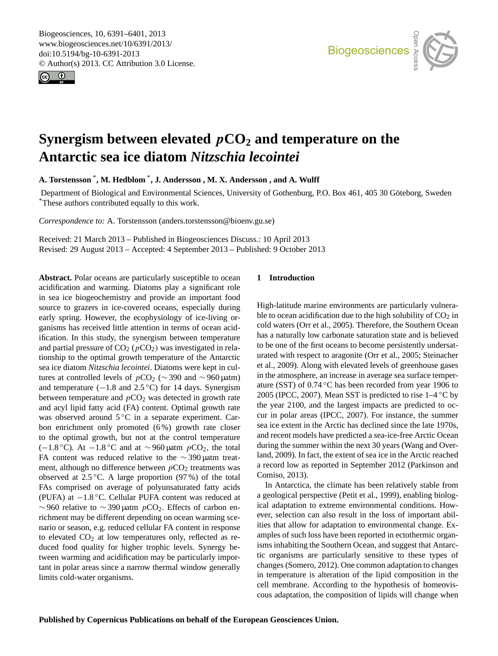<span id="page-0-0"></span>Biogeosciences, 10, 6391–6401, 2013 www.biogeosciences.net/10/6391/2013/ doi:10.5194/bg-10-6391-2013 © Author(s) 2013. CC Attribution 3.0 License.





# **Synergism between elevated** p**CO<sup>2</sup> and temperature on the Antarctic sea ice diatom** *Nitzschia lecointei*

**A. Torstensson** \* **, M. Hedblom** \* **, J. Andersson , M. X. Andersson , and A. Wulff**

Department of Biological and Environmental Sciences, University of Gothenburg, P.O. Box 461, 405 30 Göteborg, Sweden \*These authors contributed equally to this work.

*Correspondence to:* A. Torstensson (anders.torstensson@bioenv.gu.se)

Received: 21 March 2013 – Published in Biogeosciences Discuss.: 10 April 2013 Revised: 29 August 2013 – Accepted: 4 September 2013 – Published: 9 October 2013

Abstract. Polar oceans are particularly susceptible to ocean acidification and warming. Diatoms play a significant role in sea ice biogeochemistry and provide an important food source to grazers in ice-covered oceans, especially during early spring. However, the ecophysiology of ice-living organisms has received little attention in terms of ocean acidification. In this study, the synergism between temperature and partial pressure of  $CO<sub>2</sub>$  ( $pCO<sub>2</sub>$ ) was investigated in relationship to the optimal growth temperature of the Antarctic sea ice diatom *Nitzschia lecointei*. Diatoms were kept in cultures at controlled levels of  $pCO_2$  (~ 390 and ~960 µatm) and temperature  $(-1.8$  and  $2.5\textdegree C)$  for 14 days. Synergism between temperature and  $pCO<sub>2</sub>$  was detected in growth rate and acyl lipid fatty acid (FA) content. Optimal growth rate was observed around 5 ℃ in a separate experiment. Carbon enrichment only promoted (6%) growth rate closer to the optimal growth, but not at the control temperature (−1.8 °C). At −1.8 °C and at  $\sim$  960 µatm  $pCO_2$ , the total FA content was reduced relative to the ∼ 390 µatm treatment, although no difference between  $pCO<sub>2</sub>$  treatments was observed at  $2.5\,^{\circ}\text{C}$ . A large proportion (97%) of the total FAs comprised on average of polyunsaturated fatty acids (PUFA) at −1.8 ◦C. Cellular PUFA content was reduced at  $\sim$  960 relative to  $\sim$  390 μatm pCO<sub>2</sub>. Effects of carbon enrichment may be different depending on ocean warming scenario or season, e.g. reduced cellular FA content in response to elevated  $CO<sub>2</sub>$  at low temperatures only, reflected as reduced food quality for higher trophic levels. Synergy between warming and acidification may be particularly important in polar areas since a narrow thermal window generally limits cold-water organisms.

# **1 Introduction**

High-latitude marine environments are particularly vulnerable to ocean acidification due to the high solubility of  $CO<sub>2</sub>$  in cold waters (Orr et al., 2005). Therefore, the Southern Ocean has a naturally low carbonate saturation state and is believed to be one of the first oceans to become persistently undersaturated with respect to aragonite (Orr et al., 2005; Steinacher et al., 2009). Along with elevated levels of greenhouse gases in the atmosphere, an increase in average sea surface temperature (SST) of 0.74 ◦C has been recorded from year 1906 to 2005 (IPCC, 2007). Mean SST is predicted to rise  $1-4\degree C$  by the year 2100, and the largest impacts are predicted to occur in polar areas (IPCC, 2007). For instance, the summer sea ice extent in the Arctic has declined since the late 1970s, and recent models have predicted a sea-ice-free Arctic Ocean during the summer within the next 30 years (Wang and Overland, 2009). In fact, the extent of sea ice in the Arctic reached a record low as reported in September 2012 (Parkinson and Comiso, 2013).

In Antarctica, the climate has been relatively stable from a geological perspective (Petit et al., 1999), enabling biological adaptation to extreme environmental conditions. However, selection can also result in the loss of important abilities that allow for adaptation to environmental change. Examples of such loss have been reported in ectothermic organisms inhabiting the Southern Ocean, and suggest that Antarctic organisms are particularly sensitive to these types of changes (Somero, 2012). One common adaptation to changes in temperature is alteration of the lipid composition in the cell membrane. According to the hypothesis of homeoviscous adaptation, the composition of lipids will change when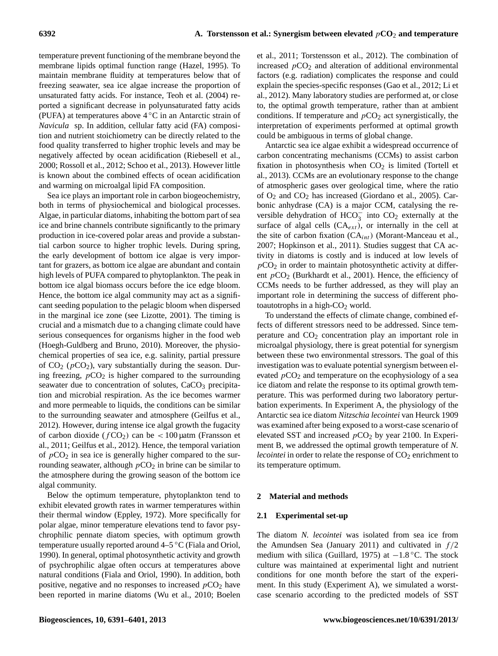temperature prevent functioning of the membrane beyond the membrane lipids optimal function range (Hazel, 1995). To maintain membrane fluidity at temperatures below that of freezing seawater, sea ice algae increase the proportion of unsaturated fatty acids. For instance, Teoh et al. (2004) reported a significant decrease in polyunsaturated fatty acids (PUFA) at temperatures above  $4\degree$ C in an Antarctic strain of *Navicula* sp. In addition, cellular fatty acid (FA) composition and nutrient stoichiometry can be directly related to the food quality transferred to higher trophic levels and may be negatively affected by ocean acidification (Riebesell et al., 2000; Rossoll et al., 2012; Schoo et al., 2013). However little is known about the combined effects of ocean acidification and warming on microalgal lipid FA composition.

Sea ice plays an important role in carbon biogeochemistry, both in terms of physiochemical and biological processes. Algae, in particular diatoms, inhabiting the bottom part of sea ice and brine channels contribute significantly to the primary production in ice-covered polar areas and provide a substantial carbon source to higher trophic levels. During spring, the early development of bottom ice algae is very important for grazers, as bottom ice algae are abundant and contain high levels of PUFA compared to phytoplankton. The peak in bottom ice algal biomass occurs before the ice edge bloom. Hence, the bottom ice algal community may act as a significant seeding population to the pelagic bloom when dispersed in the marginal ice zone (see Lizotte, 2001). The timing is crucial and a mismatch due to a changing climate could have serious consequences for organisms higher in the food web (Hoegh-Guldberg and Bruno, 2010). Moreover, the physiochemical properties of sea ice, e.g. salinity, partial pressure of  $CO_2$  ( $pCO_2$ ), vary substantially during the season. During freezing,  $pCO<sub>2</sub>$  is higher compared to the surrounding seawater due to concentration of solutes, CaCO<sub>3</sub> precipitation and microbial respiration. As the ice becomes warmer and more permeable to liquids, the conditions can be similar to the surrounding seawater and atmosphere (Geilfus et al., 2012). However, during intense ice algal growth the fugacity of carbon dioxide  $(fCO<sub>2</sub>)$  can be < 100 µatm (Fransson et al., 2011; Geilfus et al., 2012). Hence, the temporal variation of  $pCO<sub>2</sub>$  in sea ice is generally higher compared to the surrounding seawater, although  $pCO_2$  in brine can be similar to the atmosphere during the growing season of the bottom ice algal community.

Below the optimum temperature, phytoplankton tend to exhibit elevated growth rates in warmer temperatures within their thermal window (Eppley, 1972). More specifically for polar algae, minor temperature elevations tend to favor psychrophilic pennate diatom species, with optimum growth temperature usually reported around 4–5 ◦C (Fiala and Oriol, 1990). In general, optimal photosynthetic activity and growth of psychrophilic algae often occurs at temperatures above natural conditions (Fiala and Oriol, 1990). In addition, both positive, negative and no responses to increased  $pCO<sub>2</sub>$  have been reported in marine diatoms (Wu et al., 2010; Boelen et al., 2011; Torstensson et al., 2012). The combination of increased  $pCO<sub>2</sub>$  and alteration of additional environmental factors (e.g. radiation) complicates the response and could explain the species-specific responses (Gao et al., 2012; Li et al., 2012). Many laboratory studies are performed at, or close to, the optimal growth temperature, rather than at ambient conditions. If temperature and  $pCO<sub>2</sub>$  act synergistically, the interpretation of experiments performed at optimal growth could be ambiguous in terms of global change.

Antarctic sea ice algae exhibit a widespread occurrence of carbon concentrating mechanisms (CCMs) to assist carbon fixation in photosynthesis when  $CO<sub>2</sub>$  is limited (Tortell et al., 2013). CCMs are an evolutionary response to the change of atmospheric gases over geological time, where the ratio of  $O_2$  and  $CO_2$  has increased (Giordano et al., 2005). Carbonic anhydrase (CA) is a major CCM, catalysing the reversible dehydration of  $HCO_3^-$  into  $CO_2$  externally at the surface of algal cells  $(CA_{ext})$ , or internally in the cell at the site of carbon fixation  $(CA_{int})$  (Morant-Manceau et al., 2007; Hopkinson et al., 2011). Studies suggest that CA activity in diatoms is costly and is induced at low levels of  $pCO<sub>2</sub>$  in order to maintain photosynthetic activity at different  $pCO<sub>2</sub>$  (Burkhardt et al., 2001). Hence, the efficiency of CCMs needs to be further addressed, as they will play an important role in determining the success of different photoautotrophs in a high- $CO<sub>2</sub>$  world.

To understand the effects of climate change, combined effects of different stressors need to be addressed. Since temperature and  $CO<sub>2</sub>$  concentration play an important role in microalgal physiology, there is great potential for synergism between these two environmental stressors. The goal of this investigation was to evaluate potential synergism between elevated  $pCO<sub>2</sub>$  and temperature on the ecophysiology of a sea ice diatom and relate the response to its optimal growth temperature. This was performed during two laboratory perturbation experiments. In Experiment A, the physiology of the Antarctic sea ice diatom *Nitzschia lecointei* van Heurck 1909 was examined after being exposed to a worst-case scenario of elevated SST and increased  $pCO<sub>2</sub>$  by year 2100. In Experiment B, we addressed the optimal growth temperature of *N. lecointei* in order to relate the response of CO<sub>2</sub> enrichment to its temperature optimum.

# **2 Material and methods**

## **2.1 Experimental set-up**

The diatom *N. lecointei* was isolated from sea ice from the Amundsen Sea (January 2011) and cultivated in  $f/2$ medium with silica (Guillard, 1975) at  $-1.8$  °C. The stock culture was maintained at experimental light and nutrient conditions for one month before the start of the experiment. In this study (Experiment A), we simulated a worstcase scenario according to the predicted models of SST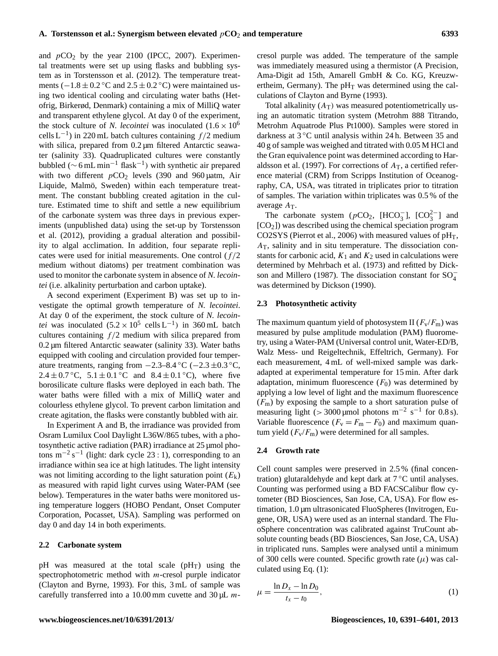and  $pCO<sub>2</sub>$  by the year 2100 (IPCC, 2007). Experimental treatments were set up using flasks and bubbling system as in Torstensson et al. (2012). The temperature treatments ( $-1.8 \pm 0.2$  °C and  $2.5 \pm 0.2$  °C) were maintained using two identical cooling and circulating water baths (Hetofrig, Birkerød, Denmark) containing a mix of MilliQ water and transparent ethylene glycol. At day 0 of the experiment, the stock culture of *N. lecointei* was inoculated  $(1.6 \times 10^6$ cells L<sup>-1</sup>) in 220 mL batch cultures containing  $f/2$  medium with silica, prepared from 0.2 µm filtered Antarctic seawater (salinity 33). Quadruplicated cultures were constantly bubbled ( $\sim$  6 mL min<sup>-1</sup> flask<sup>-1</sup>) with synthetic air prepared with two different  $pCO<sub>2</sub>$  levels (390 and 960 µatm, Air Liquide, Malmö, Sweden) within each temperature treatment. The constant bubbling created agitation in the culture. Estimated time to shift and settle a new equilibrium of the carbonate system was three days in previous experiments (unpublished data) using the set-up by Torstensson et al. (2012), providing a gradual alteration and possibility to algal acclimation. In addition, four separate replicates were used for initial measurements. One control  $(f/2)$ medium without diatoms) per treatment combination was used to monitor the carbonate system in absence of *N. lecointei* (i.e. alkalinity perturbation and carbon uptake).

A second experiment (Experiment B) was set up to investigate the optimal growth temperature of *N. lecointei*. At day 0 of the experiment, the stock culture of *N. lecointei* was inoculated  $(5.2 \times 10^5 \text{ cells L}^{-1})$  in 360 mL batch cultures containing  $f/2$  medium with silica prepared from 0.2 µm filtered Antarctic seawater (salinity 33). Water baths equipped with cooling and circulation provided four temperature treatments, ranging from  $-2.3-8.4\,^{\circ}\text{C}$  ( $-2.3\pm0.3\,^{\circ}\text{C}$ ) 2.4  $\pm$  0.7 °C, 5.1  $\pm$  0.1 °C and 8.4  $\pm$  0.1 °C), where five borosilicate culture flasks were deployed in each bath. The water baths were filled with a mix of MilliQ water and colourless ethylene glycol. To prevent carbon limitation and create agitation, the flasks were constantly bubbled with air.

In Experiment A and B, the irradiance was provided from Osram Lumilux Cool Daylight L36W/865 tubes, with a photosynthetic active radiation (PAR) irradiance at 25 µmol photons m<sup>-2</sup> s<sup>-1</sup> (light: dark cycle 23 : 1), corresponding to an irradiance within sea ice at high latitudes. The light intensity was not limiting according to the light saturation point  $(E_k)$ as measured with rapid light curves using Water-PAM (see below). Temperatures in the water baths were monitored using temperature loggers (HOBO Pendant, Onset Computer Corporation, Pocasset, USA). Sampling was performed on day 0 and day 14 in both experiments.

#### **2.2 Carbonate system**

pH was measured at the total scale  $(pH_T)$  using the spectrophotometric method with *m*-cresol purple indicator (Clayton and Byrne, 1993). For this, 3 mL of sample was carefully transferred into a 10.00 mm cuvette and  $30 \mu L$  mcresol purple was added. The temperature of the sample was immediately measured using a thermistor (A Precision, Ama-Digit ad 15th, Amarell GmbH & Co. KG, Kreuzwertheim, Germany). The  $pH_T$  was determined using the calculations of Clayton and Byrne (1993).

Total alkalinity  $(A_T)$  was measured potentiometrically using an automatic titration system (Metrohm 888 Titrando, Metrohm Aquatrode Plus Pt1000). Samples were stored in darkness at 3 ◦C until analysis within 24 h. Between 35 and 40 g of sample was weighed and titrated with 0.05 M HCl and the Gran equivalence point was determined according to Haraldsson et al. (1997). For corrections of  $A_T$ , a certified reference material (CRM) from Scripps Institution of Oceanography, CA, USA, was titrated in triplicates prior to titration of samples. The variation within triplicates was 0.5 % of the average  $A_T$ .

The carbonate system ( $pCO_2$ , [HCO<sub>3</sub><sup>-</sup>], [CO<sub>3</sub><sup>2</sup><sup>-</sup>] and [CO2]) was described using the chemical speciation program CO2SYS (Pierrot et al., 2006) with measured values of  $pH_T$ ,  $A<sub>T</sub>$ , salinity and in situ temperature. The dissociation constants for carbonic acid,  $K_1$  and  $K_2$  used in calculations were determined by Mehrbach et al. (1973) and refitted by Dickson and Millero (1987). The dissociation constant for  $SO_4^$ was determined by Dickson (1990).

# **2.3 Photosynthetic activity**

The maximum quantum yield of photosystem II  $(F_v/F_m)$  was measured by pulse amplitude modulation (PAM) fluorometry, using a Water-PAM (Universal control unit, Water-ED/B, Walz Mess- und Reigeltechnik, Effeltrich, Germany). For each measurement, 4 mL of well-mixed sample was darkadapted at experimental temperature for 15 min. After dark adaptation, minimum fluorescence  $(F_0)$  was determined by applying a low level of light and the maximum fluorescence  $(F<sub>m</sub>)$  by exposing the sample to a short saturation pulse of measuring light (> 3000 µmol photons m<sup>-2</sup> s<sup>-1</sup> for 0.8 s). Variable fluorescence  $(F_v = F_m - F_0)$  and maximum quantum yield  $(F_v/F_m)$  were determined for all samples.

# **2.4 Growth rate**

Cell count samples were preserved in 2.5 % (final concentration) glutaraldehyde and kept dark at  $7^{\circ}$ C until analyses. Counting was performed using a BD FACSCalibur flow cytometer (BD Biosciences, San Jose, CA, USA). For flow estimation, 1.0 µm ultrasonicated FluoSpheres (Invitrogen, Eugene, OR, USA) were used as an internal standard. The FluoSphere concentration was calibrated against TruCount absolute counting beads (BD Biosciences, San Jose, CA, USA) in triplicated runs. Samples were analysed until a minimum of 300 cells were counted. Specific growth rate  $(\mu)$  was calculated using Eq. (1):

$$
\mu = \frac{\ln D_x - \ln D_0}{t_x - t_0},\tag{1}
$$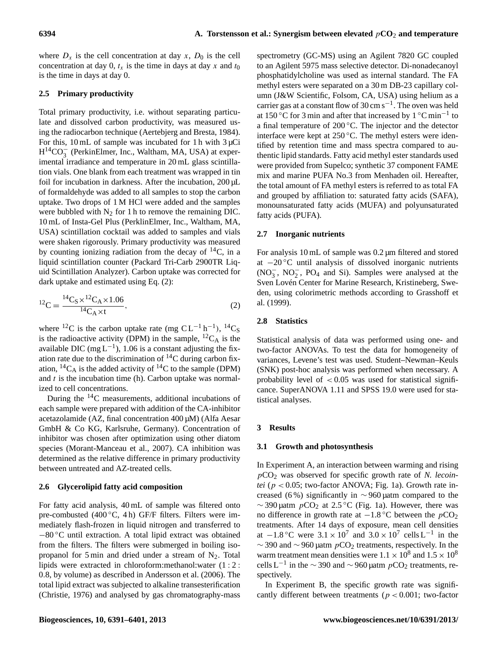where  $D_x$  is the cell concentration at day x,  $D_0$  is the cell concentration at day 0,  $t_x$  is the time in days at day x and  $t_0$ is the time in days at day 0.

# **2.5 Primary productivity**

Total primary productivity, i.e. without separating particulate and dissolved carbon productivity, was measured using the radiocarbon technique (Aertebjerg and Bresta, 1984). For this,  $10 \text{ mL}$  of sample was incubated for 1 h with  $3 \mu$ Ci H<sup>14</sup>CO<sub>3</sub> (PerkinElmer, Inc., Waltham, MA, USA) at experimental irradiance and temperature in 20 mL glass scintillation vials. One blank from each treatment was wrapped in tin foil for incubation in darkness. After the incubation, 200 µL of formaldehyde was added to all samples to stop the carbon uptake. Two drops of 1 M HCl were added and the samples were bubbled with  $N_2$  for 1 h to remove the remaining DIC. 10 mL of Insta-Gel Plus (PerklinElmer, Inc., Waltham, MA, USA) scintillation cocktail was added to samples and vials were shaken rigorously. Primary productivity was measured by counting ionizing radiation from the decay of  $^{14}C$ , in a liquid scintillation counter (Packard Tri-Carb 2900TR Liquid Scintillation Analyzer). Carbon uptake was corrected for dark uptake and estimated using Eq. (2):

$$
{}^{12}C = \frac{{}^{14}C_8 \times {}^{12}C_A \times 1.06}{{}^{14}C_A \times t},\tag{2}
$$

where <sup>12</sup>C is the carbon uptake rate (mg  $CL^{-1} h^{-1}$ ), <sup>14</sup>C<sub>S</sub> is the radioactive activity (DPM) in the sample,  ${}^{12}C_A$  is the available DIC (mg  $L^{-1}$ ), 1.06 is a constant adjusting the fixation rate due to the discrimination of  ${}^{14}C$  during carbon fixation,  ${}^{14}C_A$  is the added activity of  ${}^{14}C$  to the sample (DPM) and  $t$  is the incubation time (h). Carbon uptake was normalized to cell concentrations.

During the  $14C$  measurements, additional incubations of each sample were prepared with addition of the CA-inhibitor acetazolamide (AZ, final concentration 400 µM) (Alfa Aesar GmbH & Co KG, Karlsruhe, Germany). Concentration of inhibitor was chosen after optimization using other diatom species (Morant-Manceau et al., 2007). CA inhibition was determined as the relative difference in primary productivity between untreated and AZ-treated cells.

## **2.6 Glycerolipid fatty acid composition**

For fatty acid analysis, 40 mL of sample was filtered onto pre-combusted (400 $\degree$ C, 4 h) GF/F filters. Filters were immediately flash-frozen in liquid nitrogen and transferred to −80 ◦C until extraction. A total lipid extract was obtained from the filters. The filters were submerged in boiling isopropanol for 5 min and dried under a stream of  $N_2$ . Total lipids were extracted in chloroform:methanol:water (1 : 2 : 0.8, by volume) as described in Andersson et al. (2006). The total lipid extract was subjected to alkaline transesterification (Christie, 1976) and analysed by gas chromatography-mass spectrometry (GC-MS) using an Agilent 7820 GC coupled to an Agilent 5975 mass selective detector. Di-nonadecanoyl phosphatidylcholine was used as internal standard. The FA methyl esters were separated on a 30 m DB-23 capillary column (J&W Scientific, Folsom, CA, USA) using helium as a carrier gas at a constant flow of 30 cm  $s^{-1}$ . The oven was held at 150 °C for 3 min and after that increased by  $1 \degree C \text{ min}^{-1}$  to a final temperature of 200 ◦C. The injector and the detector interface were kept at  $250^{\circ}$ C. The methyl esters were identified by retention time and mass spectra compared to authentic lipid standards. Fatty acid methyl ester standards used were provided from Supelco; synthetic 37 component FAME mix and marine PUFA No.3 from Menhaden oil. Hereafter, the total amount of FA methyl esters is referred to as total FA and grouped by affiliation to: saturated fatty acids (SAFA), monounsaturated fatty acids (MUFA) and polyunsaturated fatty acids (PUFA).

## **2.7 Inorganic nutrients**

For analysis 10 mL of sample was 0.2 µm filtered and stored at −20 ◦C until analysis of dissolved inorganic nutrients  $(NO<sub>3</sub><sup>-</sup>, NO<sub>2</sub><sup>-</sup>, PO<sub>4</sub>$  and Si). Samples were analysed at the Sven Lovén Center for Marine Research, Kristineberg, Sweden, using colorimetric methods according to Grasshoff et al. (1999).

## **2.8 Statistics**

Statistical analysis of data was performed using one- and two-factor ANOVAs. To test the data for homogeneity of variances, Levene's test was used. Student–Newman–Keuls (SNK) post-hoc analysis was performed when necessary. A probability level of  $< 0.05$  was used for statistical significance. SuperANOVA 1.11 and SPSS 19.0 were used for statistical analyses.

## **3 Results**

# **3.1 Growth and photosynthesis**

In Experiment A, an interaction between warming and rising pCO<sup>2</sup> was observed for specific growth rate of *N. lecointei* ( $p < 0.05$ ; two-factor ANOVA; Fig. 1a). Growth rate increased (6 %) significantly in ∼ 960 µatm compared to the ~390 µatm  $pCO_2$  at 2.5 °C (Fig. 1a). However, there was no difference in growth rate at  $-1.8\text{ °C}$  between the  $p$ CO<sub>2</sub> treatments. After 14 days of exposure, mean cell densities at  $-1.8$  °C were  $3.1 \times 10^7$  and  $3.0 \times 10^7$  cells L<sup>-1</sup> in the  $\sim$  390 and  $\sim$  960 µatm  $pCO_2$  treatments, respectively. In the warm treatment mean densities were  $1.1 \times 10^8$  and  $1.5 \times 10^8$ cells L<sup>-1</sup> in the  $\sim$  390 and  $\sim$  960 µatm  $pCO_2$  treatments, respectively.

In Experiment B, the specific growth rate was significantly different between treatments ( $p < 0.001$ ; two-factor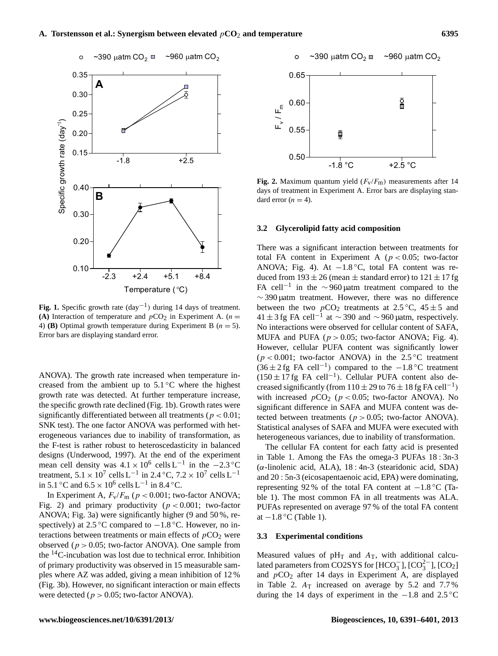

**Fig. 1.** Specific growth rate  $\text{day}^{-1}$ ) during 14 days of treatment. **(A)** Interaction of temperature and  $pCO_2$  in Experiment A. ( $n =$ 4) **(B)** Optimal growth temperature during Experiment B  $(n = 5)$ . Error bars are displaying standard error.

ANOVA). The growth rate increased when temperature increased from the ambient up to  $5.1\,^{\circ}\text{C}$  where the highest growth rate was detected. At further temperature increase, the specific growth rate declined (Fig. 1b). Growth rates were significantly differentiated between all treatments ( $p < 0.01$ ; SNK test). The one factor ANOVA was performed with heterogeneous variances due to inability of transformation, as the F-test is rather robust to heteroscedasticity in balanced designs (Underwood, 1997). At the end of the experiment mean cell density was  $4.1 \times 10^6$  cells L<sup>-1</sup> in the -2.3 °C treatment,  $5.1 \times 10^7$  cells L<sup>-1</sup> in 2.4 °C,  $7.2 \times 10^7$  cells L<sup>-1</sup> in 5.1 °C and  $6.5 \times 10^6$  cells L<sup>-1</sup> in 8.4 °C.

In Experiment A,  $F_v/F_m$  ( $p < 0.001$ ; two-factor ANOVA; Fig. 2) and primary productivity ( $p < 0.001$ ; two-factor ANOVA; Fig. 3a) were significantly higher (9 and 50 %, respectively) at 2.5 °C compared to  $-1.8$  °C. However, no interactions between treatments or main effects of  $pCO<sub>2</sub>$  were observed ( $p > 0.05$ ; two-factor ANOVA). One sample from the <sup>14</sup>C-incubation was lost due to technical error. Inhibition of primary productivity was observed in 15 measurable samples where AZ was added, giving a mean inhibition of 12 % (Fig. 3b). However, no significant interaction or main effects were detected ( $p > 0.05$ ; two-factor ANOVA).



**Fig. 2.** Maximum quantum yield  $(F_v/F_m)$  measurements after 14 days of treatment in Experiment A. Error bars are displaying standard error  $(n = 4)$ .

#### **3.2 Glycerolipid fatty acid composition**

There was a significant interaction between treatments for total FA content in Experiment A ( $p < 0.05$ ; two-factor ANOVA; Fig. 4). At  $-1.8$  °C, total FA content was reduced from  $193 \pm 26$  (mean  $\pm$  standard error) to  $121 \pm 17$  fg FA cell<sup>-1</sup> in the ∼960 µatm treatment compared to the  $\sim$  390 µatm treatment. However, there was no difference between the two  $pCO_2$  treatments at 2.5 °C, 45  $\pm$  5 and 41 ± 3 fg FA cell<sup>-1</sup> at  $\sim$  390 and  $\sim$  960 µatm, respectively. No interactions were observed for cellular content of SAFA, MUFA and PUFA ( $p > 0.05$ ; two-factor ANOVA; Fig. 4). However, cellular PUFA content was significantly lower  $(p < 0.001$ ; two-factor ANOVA) in the 2.5 °C treatment  $(36 \pm 2 \text{ fg }$  FA cell<sup>-1</sup>) compared to the -1.8 °C treatment (150 ± 17 fg FA cell−<sup>1</sup> ). Cellular PUFA content also decreased significantly (from  $110 \pm 29$  to  $76 \pm 18$  fg FA cell<sup>-1</sup>) with increased  $pCO_2$  ( $p < 0.05$ ; two-factor ANOVA). No significant difference in SAFA and MUFA content was detected between treatments ( $p > 0.05$ ; two-factor ANOVA). Statistical analyses of SAFA and MUFA were executed with heterogeneous variances, due to inability of transformation.

The cellular FA content for each fatty acid is presented in Table 1. Among the FAs the omega-3 PUFAs 18 : 3n-3 (α-linolenic acid, ALA), 18 : 4n-3 (stearidonic acid, SDA) and 20 : 5n-3 (eicosapentaenoic acid, EPA) were dominating, representing 92 % of the total FA content at  $-1.8\degree$ C (Table 1). The most common FA in all treatments was ALA. PUFAs represented on average 97 % of the total FA content at  $-1.8$  °C (Table 1).

# **3.3 Experimental conditions**

Measured values of  $pH_T$  and  $A_T$ , with additional calculated parameters from CO2SYS for  $[HCO<sub>3</sub><sup>-</sup>], [CO<sub>3</sub><sup>2</sup>], [CO<sub>2</sub>]$ and  $pCO<sub>2</sub>$  after 14 days in Experiment A, are displayed in Table 2.  $A_T$  increased on average by 5.2 and 7.7% during the 14 days of experiment in the  $-1.8$  and  $2.5^{\circ}$ C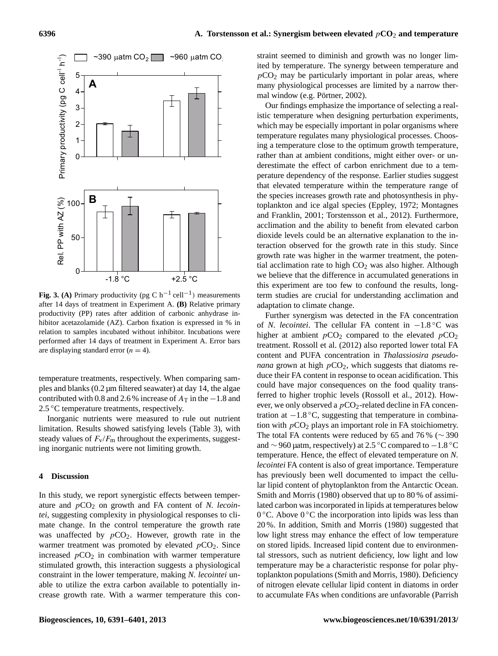

**Fig. 3. (A)** Primary productivity (pg C  $h^{-1}$  cell<sup>-1</sup>) measurements after 14 days of treatment in Experiment A. **(B)** Relative primary productivity (PP) rates after addition of carbonic anhydrase inhibitor acetazolamide (AZ). Carbon fixation is expressed in % in relation to samples incubated without inhibitor. Incubations were performed after 14 days of treatment in Experiment A. Error bars are displaying standard error  $(n = 4)$ .

temperature treatments, respectively. When comparing samples and blanks (0.2 µm filtered seawater) at day 14, the algae contributed with 0.8 and 2.6 % increase of  $A_T$  in the −1.8 and 2.5 °C temperature treatments, respectively.

Inorganic nutrients were measured to rule out nutrient limitation. Results showed satisfying levels (Table 3), with steady values of  $F_v/F_m$  throughout the experiments, suggesting inorganic nutrients were not limiting growth.

# **4 Discussion**

In this study, we report synergistic effects between temperature and  $pCO<sub>2</sub>$  on growth and FA content of *N. lecointei*, suggesting complexity in physiological responses to climate change. In the control temperature the growth rate was unaffected by  $pCO<sub>2</sub>$ . However, growth rate in the warmer treatment was promoted by elevated  $pCO<sub>2</sub>$ . Since increased  $pCO<sub>2</sub>$  in combination with warmer temperature stimulated growth, this interaction suggests a physiological constraint in the lower temperature, making *N. lecointei* unable to utilize the extra carbon available to potentially increase growth rate. With a warmer temperature this constraint seemed to diminish and growth was no longer limited by temperature. The synergy between temperature and  $pCO<sub>2</sub>$  may be particularly important in polar areas, where many physiological processes are limited by a narrow thermal window (e.g. Pörtner, 2002).

Our findings emphasize the importance of selecting a realistic temperature when designing perturbation experiments, which may be especially important in polar organisms where temperature regulates many physiological processes. Choosing a temperature close to the optimum growth temperature, rather than at ambient conditions, might either over- or underestimate the effect of carbon enrichment due to a temperature dependency of the response. Earlier studies suggest that elevated temperature within the temperature range of the species increases growth rate and photosynthesis in phytoplankton and ice algal species (Eppley, 1972; Montagnes and Franklin, 2001; Torstensson et al., 2012). Furthermore, acclimation and the ability to benefit from elevated carbon dioxide levels could be an alternative explanation to the interaction observed for the growth rate in this study. Since growth rate was higher in the warmer treatment, the potential acclimation rate to high  $CO<sub>2</sub>$  was also higher. Although we believe that the difference in accumulated generations in this experiment are too few to confound the results, longterm studies are crucial for understanding acclimation and adaptation to climate change.

Further synergism was detected in the FA concentration of *N. lecointei*. The cellular FA content in −1.8 ◦C was higher at ambient  $pCO_2$  compared to the elevated  $pCO_2$ treatment. Rossoll et al. (2012) also reported lower total FA content and PUFA concentration in *Thalassiosira pseudonana* grown at high  $pCO<sub>2</sub>$ , which suggests that diatoms reduce their FA content in response to ocean acidification. This could have major consequences on the food quality transferred to higher trophic levels (Rossoll et al., 2012). However, we only observed a  $pCO<sub>2</sub>$ -related decline in FA concentration at  $-1.8$  °C, suggesting that temperature in combination with  $pCO<sub>2</sub>$  plays an important role in FA stoichiometry. The total FA contents were reduced by 65 and 76 % (∼ 390 and  $\sim$  960 µatm, respectively) at 2.5 °C compared to  $-1.8$  °C temperature. Hence, the effect of elevated temperature on *N. lecointei* FA content is also of great importance. Temperature has previously been well documented to impact the cellular lipid content of phytoplankton from the Antarctic Ocean. Smith and Morris (1980) observed that up to 80 % of assimilated carbon was incorporated in lipids at temperatures below 0 °C. Above 0 °C the incorporation into lipids was less than 20 %. In addition, Smith and Morris (1980) suggested that low light stress may enhance the effect of low temperature on stored lipids. Increased lipid content due to environmental stressors, such as nutrient deficiency, low light and low temperature may be a characteristic response for polar phytoplankton populations (Smith and Morris, 1980). Deficiency of nitrogen elevate cellular lipid content in diatoms in order to accumulate FAs when conditions are unfavorable (Parrish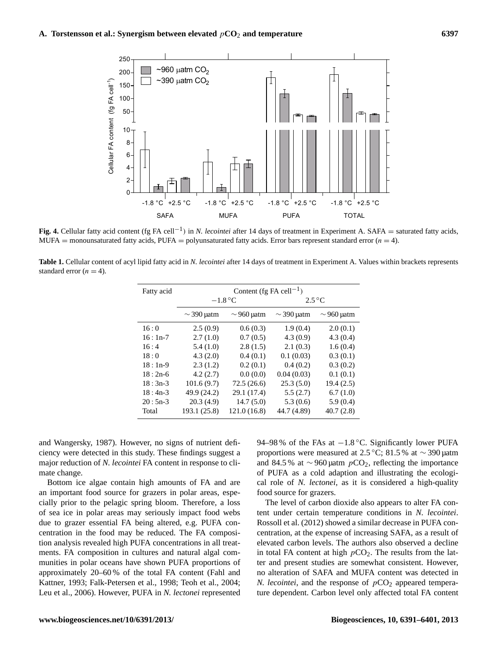

**Fig. 4.** Cellular fatty acid content (fg FA cell<sup>-1</sup>) in *N. lecointei* after 14 days of treatment in Experiment A. SAFA = saturated fatty acids, MUFA = monounsaturated fatty acids, PUFA = polyunsaturated fatty acids. Error bars represent standard error  $(n = 4)$ .

**Table 1.** Cellular content of acyl lipid fatty acid in *N. lecointei* after 14 days of treatment in Experiment A. Values within brackets represents standard error  $(n = 4)$ .

| Fatty acid | Content (fg FA cell <sup>-1</sup> ) |                 |                 |                 |  |
|------------|-------------------------------------|-----------------|-----------------|-----------------|--|
|            | $-1.8\,^{\circ}\mathrm{C}$          |                 | $2.5^{\circ}$ C |                 |  |
|            | $\sim$ 390 µatm                     | $\sim$ 960 µatm | $\sim$ 390 µatm | $\sim$ 960 µatm |  |
| 16:0       | 2.5(0.9)                            | 0.6(0.3)        | 1.9(0.4)        | 2.0(0.1)        |  |
| $16:1n-7$  | 2.7(1.0)                            | 0.7(0.5)        | 4.3(0.9)        | 4.3(0.4)        |  |
| 16:4       | 5.4(1.0)                            | 2.8(1.5)        | 2.1(0.3)        | 1.6(0.4)        |  |
| 18:0       | 4.3(2.0)                            | 0.4(0.1)        | 0.1(0.03)       | 0.3(0.1)        |  |
| $18:1n-9$  | 2.3(1.2)                            | 0.2(0.1)        | 0.4(0.2)        | 0.3(0.2)        |  |
| $18:2n-6$  | 4.2(2.7)                            | 0.0(0.0)        | 0.04(0.03)      | 0.1(0.1)        |  |
| $18:3n-3$  | 101.6(9.7)                          | 72.5(26.6)      | 25.3(5.0)       | 19.4(2.5)       |  |
| $18:4n-3$  | 49.9 (24.2)                         | 29.1 (17.4)     | 5.5(2.7)        | 6.7(1.0)        |  |
| $20:5n-3$  | 20.3(4.9)                           | 14.7(5.0)       | 5.3(0.6)        | 5.9(0.4)        |  |
| Total      | 193.1 (25.8)                        | 121.0(16.8)     | 44.7 (4.89)     | 40.7(2.8)       |  |

and Wangersky, 1987). However, no signs of nutrient deficiency were detected in this study. These findings suggest a major reduction of *N. lecointei* FA content in response to climate change.

Bottom ice algae contain high amounts of FA and are an important food source for grazers in polar areas, especially prior to the pelagic spring bloom. Therefore, a loss of sea ice in polar areas may seriously impact food webs due to grazer essential FA being altered, e.g. PUFA concentration in the food may be reduced. The FA composition analysis revealed high PUFA concentrations in all treatments. FA composition in cultures and natural algal communities in polar oceans have shown PUFA proportions of approximately 20–60 % of the total FA content (Fahl and Kattner, 1993; Falk-Petersen et al., 1998; Teoh et al., 2004; Leu et al., 2006). However, PUFA in *N. lectonei* represented 94–98 % of the FAs at −1.8 °C. Significantly lower PUFA proportions were measured at 2.5 ◦C; 81.5 % at ∼ 390 µatm and 84.5 % at  $\sim$  960 µatm  $pCO_2$ , reflecting the importance of PUFA as a cold adaption and illustrating the ecological role of *N. lectonei*, as it is considered a high-quality food source for grazers.

The level of carbon dioxide also appears to alter FA content under certain temperature conditions in *N. lecointei*. Rossoll et al. (2012) showed a similar decrease in PUFA concentration, at the expense of increasing SAFA, as a result of elevated carbon levels. The authors also observed a decline in total FA content at high  $pCO<sub>2</sub>$ . The results from the latter and present studies are somewhat consistent. However, no alteration of SAFA and MUFA content was detected in *N. lecointei*, and the response of  $pCO<sub>2</sub>$  appeared temperature dependent. Carbon level only affected total FA content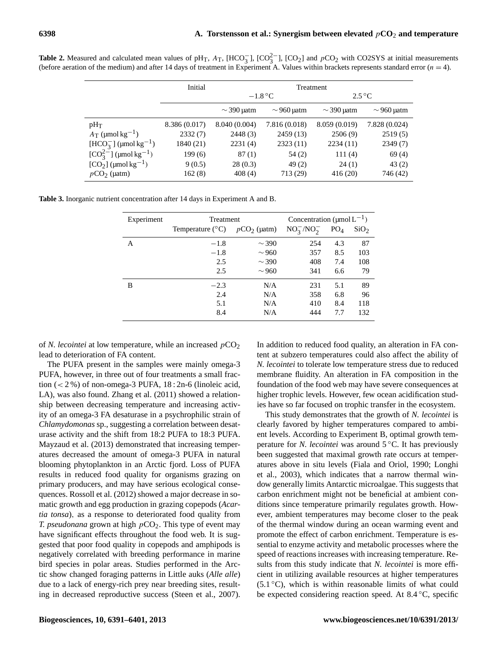|                                             | Initial       | Treatment                  |                 |                           |                 |
|---------------------------------------------|---------------|----------------------------|-----------------|---------------------------|-----------------|
|                                             |               | $-1.8\,^{\circ}\mathrm{C}$ |                 | $2.5\,^{\circ}\mathrm{C}$ |                 |
|                                             |               | $\sim$ 390 µatm            | $\sim$ 960 µatm | $\sim$ 390 µatm           | $\sim$ 960 µatm |
| $pH_T$                                      | 8.386 (0.017) | 8.040 (0.004)              | 7.816 (0.018)   | 8.059 (0.019)             | 7.828(0.024)    |
| $A_T$ (µmol kg <sup>-1</sup> )              | 2332(7)       | 2448(3)                    | 2459(13)        | 2506(9)                   | 2519(5)         |
| $[\text{HCO}_3^-]$ (µmol kg <sup>-1</sup> ) | 1840 (21)     | 2231(4)                    | 2323(11)        | 2234(11)                  | 2349(7)         |
| $[CO_3^{2-}]$ (µmol kg <sup>-1</sup> )      | 199(6)        | 87(1)                      | 54(2)           | 111(4)                    | 69(4)           |
| $[CO2]$ (µmol kg <sup>-1</sup> )            | 9(0.5)        | 28(0.3)                    | 49(2)           | 24(1)                     | 43(2)           |
| $pCO2$ (µatm)                               | 162(8)        | 408(4)                     | 713 (29)        | 416(20)                   | 746 (42)        |

**Table 2.** Measured and calculated mean values of pH<sub>T</sub>,  $A_T$ , [HCO<sub>3</sub><sup>-</sup>], [CO<sub>2</sub><sup>-</sup>], [CO<sub>2</sub>] and  $pCO_2$  with CO2SYS at initial measurements (before aeration of the medium) and after 14 days of treatment in Experiment A. Values within brackets represents standard error  $(n = 4)$ .

| Table 3. Inorganic nutrient concentration after 14 days in Experiment A and B. |  |  |  |
|--------------------------------------------------------------------------------|--|--|--|
|--------------------------------------------------------------------------------|--|--|--|

| Experiment | <b>Treatment</b>          | Concentration ( $\mu$ mol $L^{-1}$ ) |                 |                 |                  |
|------------|---------------------------|--------------------------------------|-----------------|-----------------|------------------|
|            | Temperature $(^{\circ}C)$ | $pCO2$ (µatm)                        | $NO_3^-/NO_2^-$ | PO <sub>4</sub> | SiO <sub>2</sub> |
| А          | $-1.8$                    | $\sim$ 390                           | 254             | 4.3             | 87               |
|            | $-1.8$                    | $\sim$ 960                           | 357             | 8.5             | 103              |
|            | 2.5                       | $\sim$ 390                           | 408             | 7.4             | 108              |
|            | 2.5                       | $\sim$ 960                           | 341             | 6.6             | 79               |
| В          | $-2.3$                    | N/A                                  | 231             | 5.1             | 89               |
|            | 2.4                       | N/A                                  | 358             | 6.8             | 96               |
|            | 5.1                       | N/A                                  | 410             | 8.4             | 118              |
|            | 8.4                       | N/A                                  | 444             | 7.7             | 132              |

of *N. lecointei* at low temperature, while an increased  $pCO<sub>2</sub>$ lead to deterioration of FA content.

The PUFA present in the samples were mainly omega-3 PUFA, however, in three out of four treatments a small fraction  $(< 2\%$ ) of non-omega-3 PUFA,  $18:2n-6$  (linoleic acid, LA), was also found. Zhang et al. (2011) showed a relationship between decreasing temperature and increasing activity of an omega-3 FA desaturase in a psychrophilic strain of *Chlamydomonas* sp., suggesting a correlation between desaturase activity and the shift from 18:2 PUFA to 18:3 PUFA. Mayzaud et al. (2013) demonstrated that increasing temperatures decreased the amount of omega-3 PUFA in natural blooming phytoplankton in an Arctic fjord. Loss of PUFA results in reduced food quality for organisms grazing on primary producers, and may have serious ecological consequences. Rossoll et al. (2012) showed a major decrease in somatic growth and egg production in grazing copepods (*Acartia tonsa*), as a response to deteriorated food quality from *T. pseudonana* grown at high  $pCO<sub>2</sub>$ . This type of event may have significant effects throughout the food web. It is suggested that poor food quality in copepods and amphipods is negatively correlated with breeding performance in marine bird species in polar areas. Studies performed in the Arctic show changed foraging patterns in Little auks (*Alle alle*) due to a lack of energy-rich prey near breeding sites, resulting in decreased reproductive success (Steen et al., 2007). In addition to reduced food quality, an alteration in FA content at subzero temperatures could also affect the ability of *N. lecointei* to tolerate low temperature stress due to reduced membrane fluidity. An alteration in FA composition in the foundation of the food web may have severe consequences at higher trophic levels. However, few ocean acidification studies have so far focused on trophic transfer in the ecosystem.

This study demonstrates that the growth of *N. lecointei* is clearly favored by higher temperatures compared to ambient levels. According to Experiment B, optimal growth temperature for *N. lecointei* was around 5 ◦C. It has previously been suggested that maximal growth rate occurs at temperatures above in situ levels (Fiala and Oriol, 1990; Longhi et al., 2003), which indicates that a narrow thermal window generally limits Antarctic microalgae. This suggests that carbon enrichment might not be beneficial at ambient conditions since temperature primarily regulates growth. However, ambient temperatures may become closer to the peak of the thermal window during an ocean warming event and promote the effect of carbon enrichment. Temperature is essential to enzyme activity and metabolic processes where the speed of reactions increases with increasing temperature. Results from this study indicate that *N. lecointei* is more efficient in utilizing available resources at higher temperatures  $(5.1 \degree C)$ , which is within reasonable limits of what could be expected considering reaction speed. At 8.4 ◦C, specific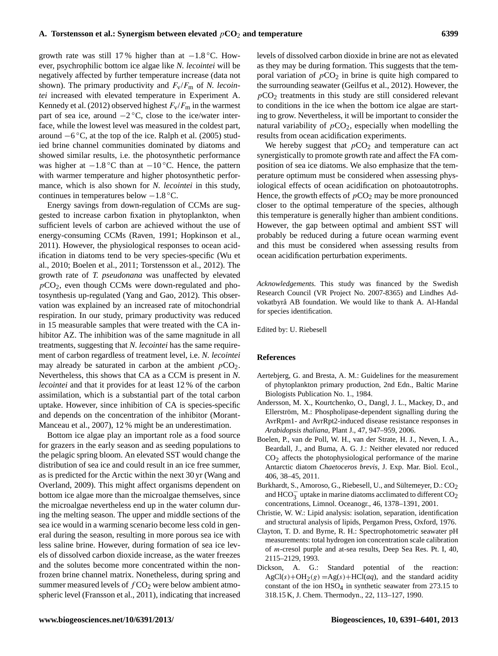growth rate was still 17% higher than at  $-1.8\degree$ C. However, psychrophilic bottom ice algae like *N. lecointei* will be negatively affected by further temperature increase (data not shown). The primary productivity and  $F_v/F_m$  of *N. lecointei* increased with elevated temperature in Experiment A. Kennedy et al. (2012) observed highest  $F_v/F_m$  in the warmest part of sea ice, around  $-2$  °C, close to the ice/water interface, while the lowest level was measured in the coldest part, around −6 ◦C, at the top of the ice. Ralph et al. (2005) studied brine channel communities dominated by diatoms and showed similar results, i.e. the photosynthetic performance was higher at  $-1.8\,^{\circ}\text{C}$  than at  $-10\,^{\circ}\text{C}$ . Hence, the pattern with warmer temperature and higher photosynthetic performance, which is also shown for *N. lecointei* in this study, continues in temperatures below −1.8 ◦C.

Energy savings from down-regulation of CCMs are suggested to increase carbon fixation in phytoplankton, when sufficient levels of carbon are achieved without the use of energy-consuming CCMs (Raven, 1991; Hopkinson et al., 2011). However, the physiological responses to ocean acidification in diatoms tend to be very species-specific (Wu et al., 2010; Boelen et al., 2011; Torstensson et al., 2012). The growth rate of *T. pseudonana* was unaffected by elevated  $pCO<sub>2</sub>$ , even though CCMs were down-regulated and photosynthesis up-regulated (Yang and Gao, 2012). This observation was explained by an increased rate of mitochondrial respiration. In our study, primary productivity was reduced in 15 measurable samples that were treated with the CA inhibitor AZ. The inhibition was of the same magnitude in all treatments, suggesting that *N. lecointei* has the same requirement of carbon regardless of treatment level, i.e. *N. lecointei* may already be saturated in carbon at the ambient  $pCO<sub>2</sub>$ . Nevertheless, this shows that CA as a CCM is present in *N. lecointei* and that it provides for at least 12 % of the carbon assimilation, which is a substantial part of the total carbon uptake. However, since inhibition of CA is species-specific and depends on the concentration of the inhibitor (Morant-Manceau et al., 2007), 12 % might be an underestimation.

Bottom ice algae play an important role as a food source for grazers in the early season and as seeding populations to the pelagic spring bloom. An elevated SST would change the distribution of sea ice and could result in an ice free summer, as is predicted for the Arctic within the next 30 yr (Wang and Overland, 2009). This might affect organisms dependent on bottom ice algae more than the microalgae themselves, since the microalgae nevertheless end up in the water column during the melting season. The upper and middle sections of the sea ice would in a warming scenario become less cold in general during the season, resulting in more porous sea ice with less saline brine. However, during formation of sea ice levels of dissolved carbon dioxide increase, as the water freezes and the solutes become more concentrated within the nonfrozen brine channel matrix. Nonetheless, during spring and summer measured levels of  $fCO<sub>2</sub>$  were below ambient atmospheric level (Fransson et al., 2011), indicating that increased levels of dissolved carbon dioxide in brine are not as elevated as they may be during formation. This suggests that the temporal variation of  $pCO<sub>2</sub>$  in brine is quite high compared to the surrounding seawater (Geilfus et al., 2012). However, the  $pCO<sub>2</sub>$  treatments in this study are still considered relevant to conditions in the ice when the bottom ice algae are starting to grow. Nevertheless, it will be important to consider the natural variability of  $pCO<sub>2</sub>$ , especially when modelling the results from ocean acidification experiments.

We hereby suggest that  $pCO<sub>2</sub>$  and temperature can act synergistically to promote growth rate and affect the FA composition of sea ice diatoms. We also emphasize that the temperature optimum must be considered when assessing physiological effects of ocean acidification on photoautotrophs. Hence, the growth effects of  $pCO<sub>2</sub>$  may be more pronounced closer to the optimal temperature of the species, although this temperature is generally higher than ambient conditions. However, the gap between optimal and ambient SST will probably be reduced during a future ocean warming event and this must be considered when assessing results from ocean acidification perturbation experiments.

*Acknowledgements.* This study was financed by the Swedish Research Council (VR Project No. 2007-8365) and Lindhes Advokatbyrå AB foundation. We would like to thank A. Al-Handal for species identification.

Edited by: U. Riebesell

#### **References**

- Aertebjerg, G. and Bresta, A. M.: Guidelines for the measurement of phytoplankton primary production, 2nd Edn., Baltic Marine Biologists Publication No. 1., 1984.
- Andersson, M. X., Kourtchenko, O., Dangl, J. L., Mackey, D., and Ellerström, M.: Phospholipase-dependent signalling during the AvrRpm1- and AvrRpt2-induced disease resistance responses in *Arabidopsis thaliana*, Plant J., 47, 947–959, 2006.
- Boelen, P., van de Poll, W. H., van der Strate, H. J., Neven, I. A., Beardall, J., and Buma, A. G. J.: Neither elevated nor reduced CO2 affects the photophysiological performance of the marine Antarctic diatom *Chaetoceros brevis*, J. Exp. Mar. Biol. Ecol., 406, 38–45, 2011.
- Burkhardt, S., Amoroso, G., Riebesell, U., and Sültemeyer, D.: CO<sub>2</sub> and  $HCO<sub>3</sub><sup>-</sup>$  uptake in marine diatoms acclimated to different  $CO<sub>2</sub>$ concentrations, Limnol. Oceanogr., 46, 1378–1391, 2001.
- Christie, W. W.: Lipid analysis: isolation, separation, identification and structural analysis of lipids, Pergamon Press, Oxford, 1976.
- Clayton, T. D. and Byrne, R. H.: Spectrophotometric seawater pH measurements: total hydrogen ion concentration scale calibration of m-cresol purple and at-sea results, Deep Sea Res. Pt. I, 40, 2115–2129, 1993.
- Dickson, A. G.: Standard potential of the reaction:  $AgCl(s) + OH<sub>2</sub>(g) = Ag(s) + HCl(aq)$ , and the standard acidity constant of the ion HSO4 in synthetic seawater from 273.15 to 318.15 K, J. Chem. Thermodyn., 22, 113–127, 1990.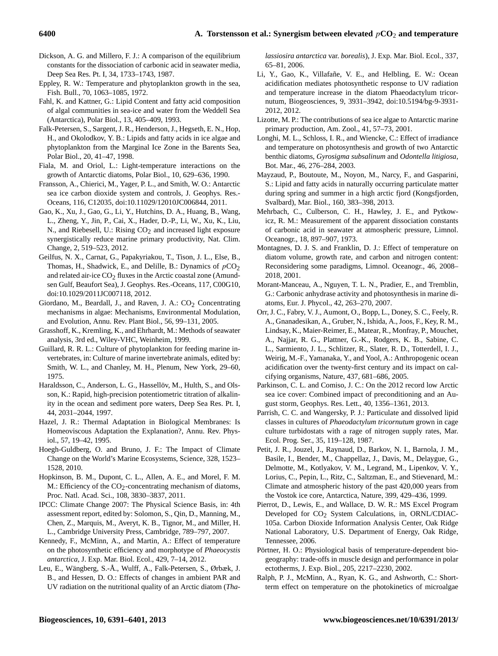- Dickson, A. G. and Millero, F. J.: A comparison of the equilibrium constants for the dissociation of carbonic acid in seawater media, Deep Sea Res. Pt. I, 34, 1733–1743, 1987.
- Eppley, R. W.: Temperature and phytoplankton growth in the sea, Fish. Bull., 70, 1063–1085, 1972.
- Fahl, K. and Kattner, G.: Lipid Content and fatty acid composition of algal communities in sea-ice and water from the Weddell Sea (Antarctica), Polar Biol., 13, 405–409, 1993.
- Falk-Petersen, S., Sargent, J. R., Henderson, J., Hegseth, E. N., Hop, H., and Okolodkov, Y. B.: Lipids and fatty acids in ice algae and phytoplankton from the Marginal Ice Zone in the Barents Sea, Polar Biol., 20, 41–47, 1998.
- Fiala, M. and Oriol, L.: Light-temperature interactions on the growth of Antarctic diatoms, Polar Biol., 10, 629–636, 1990.
- Fransson, A., Chierici, M., Yager, P. L., and Smith, W. O.: Antarctic sea ice carbon dioxide system and controls, J. Geophys. Res.- Oceans, 116, C12035, doi[:10.11029/12010JC006844,](http://dx.doi.org/10.11029/12010JC006844) 2011.
- Gao, K., Xu, J., Gao, G., Li, Y., Hutchins, D. A., Huang, B., Wang, L., Zheng, Y., Jin, P., Cai, X., Hader, D.-P., Li, W., Xu, K., Liu, N., and Riebesell, U.: Rising  $CO<sub>2</sub>$  and increased light exposure synergistically reduce marine primary productivity, Nat. Clim. Change, 2, 519–523, 2012.
- Geilfus, N. X., Carnat, G., Papakyriakou, T., Tison, J. L., Else, B., Thomas, H., Shadwick, E., and Delille, B.: Dynamics of  $pCO<sub>2</sub>$ and related air-ice  $CO<sub>2</sub>$  fluxes in the Arctic coastal zone (Amundsen Gulf, Beaufort Sea), J. Geophys. Res.-Oceans, 117, C00G10, doi[:10.1029/2011JC007118,](http://dx.doi.org/10.1029/2011JC007118) 2012.
- Giordano, M., Beardall, J., and Raven, J. A.:  $CO<sub>2</sub>$  Concentrating mechanisms in algae: Mechanisms, Environmental Modulation, and Evolution, Annu. Rev. Plant Biol., 56, 99–131, 2005.
- Grasshoff, K., Kremling, K., and Ehrhardt, M.: Methods of seawater analysis, 3rd ed., Wiley-VHC, Weinheim, 1999.
- Guillard, R. R. L.: Culture of phytoplankton for feeding marine invertebrates, in: Culture of marine invertebrate animals, edited by: Smith, W. L., and Chanley, M. H., Plenum, New York, 29–60, 1975.
- Haraldsson, C., Anderson, L. G., Hassellöv, M., Hulth, S., and Olsson, K.: Rapid, high-precision potentiometric titration of alkalinity in the ocean and sediment pore waters, Deep Sea Res. Pt. I, 44, 2031–2044, 1997.
- Hazel, J. R.: Thermal Adaptation in Biological Membranes: Is Homeoviscous Adaptation the Explanation?, Annu. Rev. Physiol., 57, 19–42, 1995.
- Hoegh-Guldberg, O. and Bruno, J. F.: The Impact of Climate Change on the World's Marine Ecosystems, Science, 328, 1523– 1528, 2010.
- Hopkinson, B. M., Dupont, C. L., Allen, A. E., and Morel, F. M. M.: Efficiency of the  $CO_2$ -concentrating mechanism of diatoms, Proc. Natl. Acad. Sci., 108, 3830–3837, 2011.
- IPCC: Climate Change 2007: The Physical Science Basis, in: 4th assessment report, edited by: Solomon, S., Qin, D., Manning, M., Chen, Z., Marquis, M., Averyt, K. B., Tignor, M., and Miller, H. L., Cambridge University Press, Cambridge, 789–797, 2007.
- Kennedy, F., McMinn, A., and Martin, A.: Effect of temperature on the photosynthetic efficiency and morphotype of *Phaeocystis antarctica*, J. Exp. Mar. Biol. Ecol., 429, 7–14, 2012.
- Leu, E., Wängberg, S.-Å., Wulff, A., Falk-Petersen, S., Ørbæk, J. B., and Hessen, D. O.: Effects of changes in ambient PAR and UV radiation on the nutritional quality of an Arctic diatom (*Tha-*

*lassiosira antarctica* var. *borealis*), J. Exp. Mar. Biol. Ecol., 337, 65–81, 2006.

- Li, Y., Gao, K., Villafañe, V. E., and Helbling, E. W.: Ocean acidification mediates photosynthetic response to UV radiation and temperature increase in the diatom Phaeodactylum tricornutum, Biogeosciences, 9, 3931–3942, doi[:10.5194/bg-9-3931-](http://dx.doi.org/10.5194/bg-9-3931-2012) [2012,](http://dx.doi.org/10.5194/bg-9-3931-2012) 2012.
- Lizotte, M. P.: The contributions of sea ice algae to Antarctic marine primary production, Am. Zool., 41, 57–73, 2001.
- Longhi, M. L., Schloss, I. R., and Wiencke, C.: Effect of irradiance and temperature on photosynthesis and growth of two Antarctic benthic diatoms, *Gyrosigma subsalinum* and *Odontella litigiosa*, Bot. Mar., 46, 276–284, 2003.
- Mayzaud, P., Boutoute, M., Noyon, M., Narcy, F., and Gasparini, S.: Lipid and fatty acids in naturally occurring particulate matter during spring and summer in a high arctic fjord (Kongsfjorden, Svalbard), Mar. Biol., 160, 383–398, 2013.
- Mehrbach, C., Culberson, C. H., Hawley, J. E., and Pytkowicz, R. M.: Measurement of the apparent dissociation constants of carbonic acid in seawater at atmospheric pressure, Limnol. Oceanogr., 18, 897–907, 1973.
- Montagnes, D. J. S. and Franklin, D. J.: Effect of temperature on diatom volume, growth rate, and carbon and nitrogen content: Reconsidering some paradigms, Limnol. Oceanogr., 46, 2008– 2018, 2001.
- Morant-Manceau, A., Nguyen, T. L. N., Pradier, E., and Tremblin, G.: Carbonic anhydrase activity and photosynthesis in marine diatoms, Eur. J. Phycol., 42, 263–270, 2007.
- Orr, J. C., Fabry, V. J., Aumont, O., Bopp, L., Doney, S. C., Feely, R. A., Gnanadesikan, A., Gruber, N., Ishida, A., Joos, F., Key, R. M., Lindsay, K., Maier-Reimer, E., Matear, R., Monfray, P., Mouchet, A., Najjar, R. G., Plattner, G.-K., Rodgers, K. B., Sabine, C. L., Sarmiento, J. L., Schlitzer, R., Slater, R. D., Totterdell, I. J., Weirig, M.-F., Yamanaka, Y., and Yool, A.: Anthropogenic ocean acidification over the twenty-first century and its impact on calcifying organisms, Nature, 437, 681–686, 2005.
- Parkinson, C. L. and Comiso, J. C.: On the 2012 record low Arctic sea ice cover: Combined impact of preconditioning and an August storm, Geophys. Res. Lett., 40, 1356–1361, 2013.
- Parrish, C. C. and Wangersky, P. J.: Particulate and dissolved lipid classes in cultures of *Phaeodactylum tricornutum* grown in cage culture turbidostats with a rage of nitrogen supply rates, Mar. Ecol. Prog. Ser., 35, 119–128, 1987.
- Petit, J. R., Jouzel, J., Raynaud, D., Barkov, N. I., Barnola, J. M., Basile, I., Bender, M., Chappellaz, J., Davis, M., Delaygue, G., Delmotte, M., Kotlyakov, V. M., Legrand, M., Lipenkov, V. Y., Lorius, C., Pepin, L., Ritz, C., Saltzman, E., and Stievenard, M.: Climate and atmospheric history of the past 420,000 years from the Vostok ice core, Antarctica, Nature, 399, 429–436, 1999.
- Pierrot, D., Lewis, E., and Wallace, D. W. R.: MS Excel Program Developed for CO<sub>2</sub> System Calculations, in, ORNL/CDIAC-105a. Carbon Dioxide Information Analysis Center, Oak Ridge National Laboratory, U.S. Department of Energy, Oak Ridge, Tennessee, 2006.
- Pörtner, H. O.: Physiological basis of temperature-dependent biogeography: trade-offs in muscle design and performance in polar ectotherms, J. Exp. Biol., 205, 2217–2230, 2002.
- Ralph, P. J., McMinn, A., Ryan, K. G., and Ashworth, C.: Shortterm effect on temperature on the photokinetics of microalgae